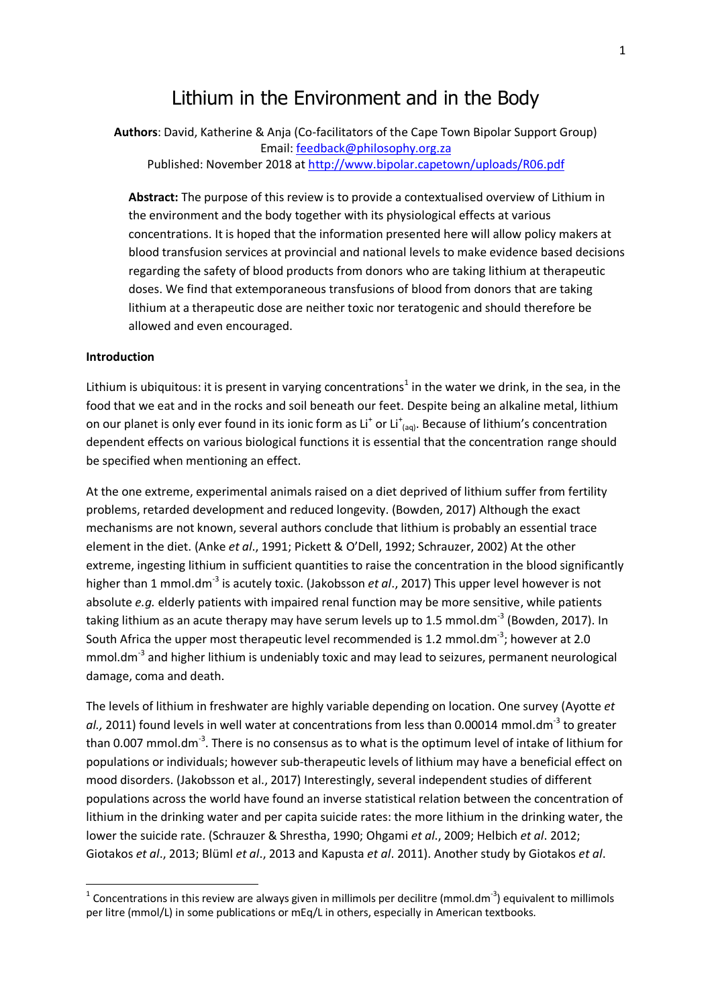# Lithium in the Environment and in the Body

**Authors**: David, Katherine & Anja (Co-facilitators of the Cape Town Bipolar Support Group) Email: [feedback@philosophy.org.za](mailto:feedback@philosophy.org.za) Published: November 2018 at<http://www.bipolar.capetown/uploads/R06.pdf>

**Abstract:** The purpose of this review is to provide a contextualised overview of Lithium in the environment and the body together with its physiological effects at various concentrations. It is hoped that the information presented here will allow policy makers at blood transfusion services at provincial and national levels to make evidence based decisions regarding the safety of blood products from donors who are taking lithium at therapeutic doses. We find that extemporaneous transfusions of blood from donors that are taking lithium at a therapeutic dose are neither toxic nor teratogenic and should therefore be allowed and even encouraged.

#### **Introduction**

1

Lithium is ubiquitous: it is present in varying concentrations<sup>1</sup> in the water we drink, in the sea, in the food that we eat and in the rocks and soil beneath our feet. Despite being an alkaline metal, lithium on our planet is only ever found in its ionic form as  $Li<sup>+</sup>$  or  $Li<sup>+</sup>$ <sub>(aq)</sub>. Because of lithium's concentration dependent effects on various biological functions it is essential that the concentration range should be specified when mentioning an effect.

At the one extreme, experimental animals raised on a diet deprived of lithium suffer from fertility problems, retarded development and reduced longevity. (Bowden, 2017) Although the exact mechanisms are not known, several authors conclude that lithium is probably an essential trace element in the diet. (Anke *et al*., 1991; Pickett & O'Dell, 1992; Schrauzer, 2002) At the other extreme, ingesting lithium in sufficient quantities to raise the concentration in the blood significantly higher than 1 mmol.dm<sup>-3</sup> is acutely toxic. (Jakobsson *et al.*, 2017) This upper level however is not absolute *e.g.* elderly patients with impaired renal function may be more sensitive, while patients taking lithium as an acute therapy may have serum levels up to 1.5 mmol.dm<sup>-3</sup> (Bowden, 2017). In South Africa the upper most therapeutic level recommended is 1.2 mmol.dm<sup>-3</sup>; however at 2.0 mmol.dm<sup>-3</sup> and higher lithium is undeniably toxic and may lead to seizures, permanent neurological damage, coma and death.

The levels of lithium in freshwater are highly variable depending on location. One survey (Ayotte *et*  al., 2011) found levels in well water at concentrations from less than 0.00014 mmol.dm<sup>-3</sup> to greater than 0.007 mmol.dm<sup>-3</sup>. There is no consensus as to what is the optimum level of intake of lithium for populations or individuals; however sub-therapeutic levels of lithium may have a beneficial effect on mood disorders. (Jakobsson et al., 2017) Interestingly, several independent studies of different populations across the world have found an inverse statistical relation between the concentration of lithium in the drinking water and per capita suicide rates: the more lithium in the drinking water, the lower the suicide rate. (Schrauzer & Shrestha, 1990; Ohgami *et al*., 2009; Helbich *et al*. 2012; Giotakos *et al*., 2013; Blüml *et al*., 2013 and Kapusta *et al*. 2011). Another study by Giotakos *et al*.

<sup>&</sup>lt;sup>1</sup> Concentrations in this review are always given in millimols per decilitre (mmol.dm<sup>-3</sup>) equivalent to millimols per litre (mmol/L) in some publications or mEq/L in others, especially in American textbooks.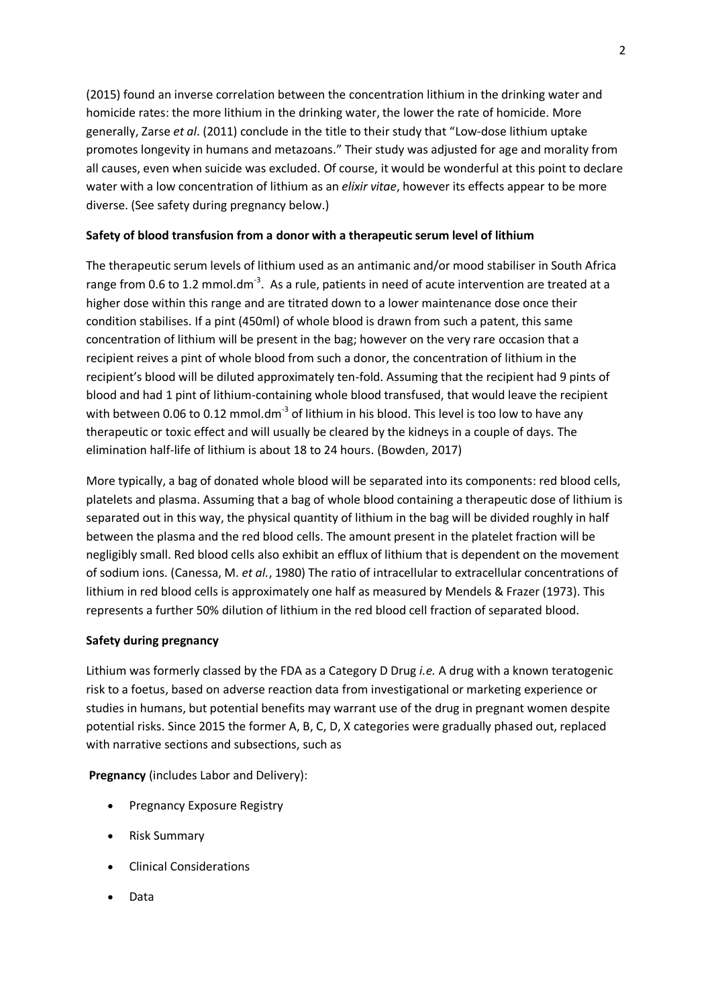(2015) found an inverse correlation between the concentration lithium in the drinking water and homicide rates: the more lithium in the drinking water, the lower the rate of homicide. More generally, Zarse *et al*. (2011) conclude in the title to their study that "Low-dose lithium uptake promotes longevity in humans and metazoans." Their study was adjusted for age and morality from all causes, even when suicide was excluded. Of course, it would be wonderful at this point to declare water with a low concentration of lithium as an *elixir vitae*, however its effects appear to be more diverse. (See safety during pregnancy below.)

## **Safety of blood transfusion from a donor with a therapeutic serum level of lithium**

The therapeutic serum levels of lithium used as an antimanic and/or mood stabiliser in South Africa range from 0.6 to 1.2 mmol.dm<sup>-3</sup>. As a rule, patients in need of acute intervention are treated at a higher dose within this range and are titrated down to a lower maintenance dose once their condition stabilises. If a pint (450ml) of whole blood is drawn from such a patent, this same concentration of lithium will be present in the bag; however on the very rare occasion that a recipient reives a pint of whole blood from such a donor, the concentration of lithium in the recipient's blood will be diluted approximately ten-fold. Assuming that the recipient had 9 pints of blood and had 1 pint of lithium-containing whole blood transfused, that would leave the recipient with between 0.06 to 0.12 mmol.dm $^{-3}$  of lithium in his blood. This level is too low to have any therapeutic or toxic effect and will usually be cleared by the kidneys in a couple of days. The elimination half-life of lithium is about 18 to 24 hours. (Bowden, 2017)

More typically, a bag of donated whole blood will be separated into its components: red blood cells, platelets and plasma. Assuming that a bag of whole blood containing a therapeutic dose of lithium is separated out in this way, the physical quantity of lithium in the bag will be divided roughly in half between the plasma and the red blood cells. The amount present in the platelet fraction will be negligibly small. Red blood cells also exhibit an efflux of lithium that is dependent on the movement of sodium ions. (Canessa, M. *et al.*, 1980) The ratio of intracellular to extracellular concentrations of lithium in red blood cells is approximately one half as measured by Mendels & Frazer (1973). This represents a further 50% dilution of lithium in the red blood cell fraction of separated blood.

## **Safety during pregnancy**

Lithium was formerly classed by the FDA as a Category D Drug *i.e.* A drug with a known teratogenic risk to a foetus, based on adverse reaction data from investigational or marketing experience or studies in humans, but potential benefits may warrant use of the drug in pregnant women despite potential risks. Since 2015 the former A, B, C, D, X categories were gradually phased out, replaced with narrative sections and subsections, such as

**Pregnancy** (includes Labor and Delivery):

- Pregnancy Exposure Registry
- Risk Summary
- Clinical Considerations
- Data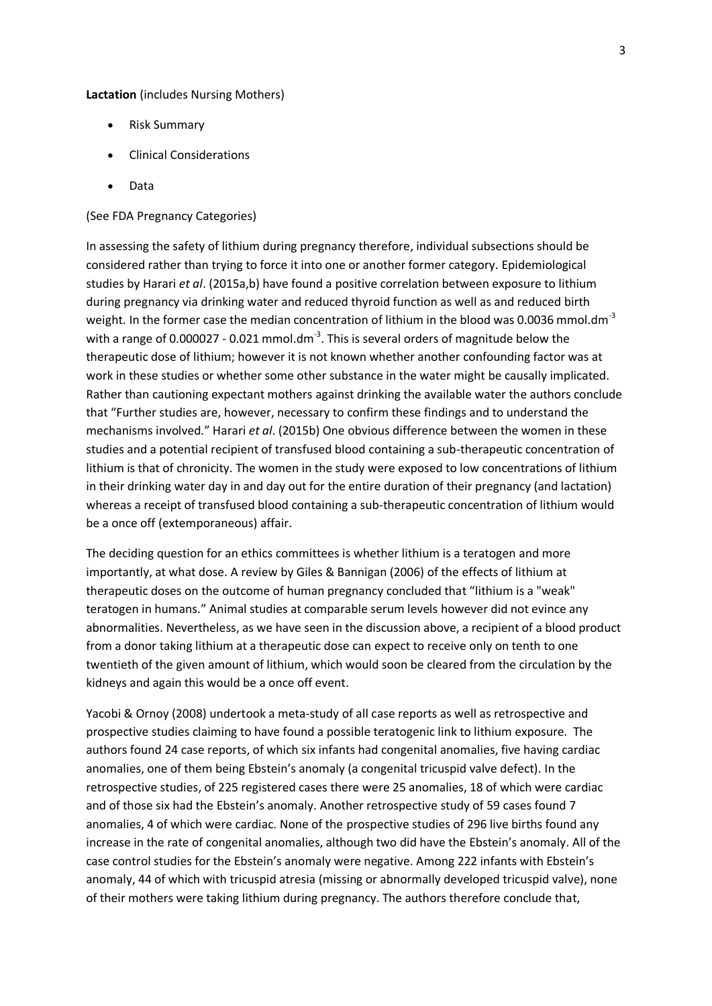**Lactation** (includes Nursing Mothers)

- Risk Summary
- Clinical Considerations
- Data

#### (See FDA Pregnancy Categories)

In assessing the safety of lithium during pregnancy therefore, individual subsections should be considered rather than trying to force it into one or another former category. Epidemiological studies by Harari *et al*. (2015a,b) have found a positive correlation between exposure to lithium during pregnancy via drinking water and reduced thyroid function as well as and reduced birth weight. In the former case the median concentration of lithium in the blood was 0.0036 mmol.dm<sup>-3</sup> with a range of 0.000027 - 0.021 mmol.dm<sup>-3</sup>. This is several orders of magnitude below the therapeutic dose of lithium; however it is not known whether another confounding factor was at work in these studies or whether some other substance in the water might be causally implicated. Rather than cautioning expectant mothers against drinking the available water the authors conclude that "Further studies are, however, necessary to confirm these findings and to understand the mechanisms involved." Harari *et al*. (2015b) One obvious difference between the women in these studies and a potential recipient of transfused blood containing a sub-therapeutic concentration of lithium is that of chronicity. The women in the study were exposed to low concentrations of lithium in their drinking water day in and day out for the entire duration of their pregnancy (and lactation) whereas a receipt of transfused blood containing a sub-therapeutic concentration of lithium would be a once off (extemporaneous) affair.

The deciding question for an ethics committees is whether lithium is a teratogen and more importantly, at what dose. A review by Giles & Bannigan (2006) of the effects of lithium at therapeutic doses on the outcome of human pregnancy concluded that "lithium is a "weak" teratogen in humans." Animal studies at comparable serum levels however did not evince any abnormalities. Nevertheless, as we have seen in the discussion above, a recipient of a blood product from a donor taking lithium at a therapeutic dose can expect to receive only on tenth to one twentieth of the given amount of lithium, which would soon be cleared from the circulation by the kidneys and again this would be a once off event.

Yacobi & Ornoy (2008) undertook a meta-study of all case reports as well as retrospective and prospective studies claiming to have found a possible teratogenic link to lithium exposure. The authors found 24 case reports, of which six infants had congenital anomalies, five having cardiac anomalies, one of them being Ebstein's anomaly (a congenital tricuspid valve defect). In the retrospective studies, of 225 registered cases there were 25 anomalies, 18 of which were cardiac and of those six had the Ebstein's anomaly. Another retrospective study of 59 cases found 7 anomalies, 4 of which were cardiac. None of the prospective studies of 296 live births found any increase in the rate of congenital anomalies, although two did have the Ebstein's anomaly. All of the case control studies for the Ebstein's anomaly were negative. Among 222 infants with Ebstein's anomaly, 44 of which with tricuspid atresia (missing or abnormally developed tricuspid valve), none of their mothers were taking lithium during pregnancy. The authors therefore conclude that,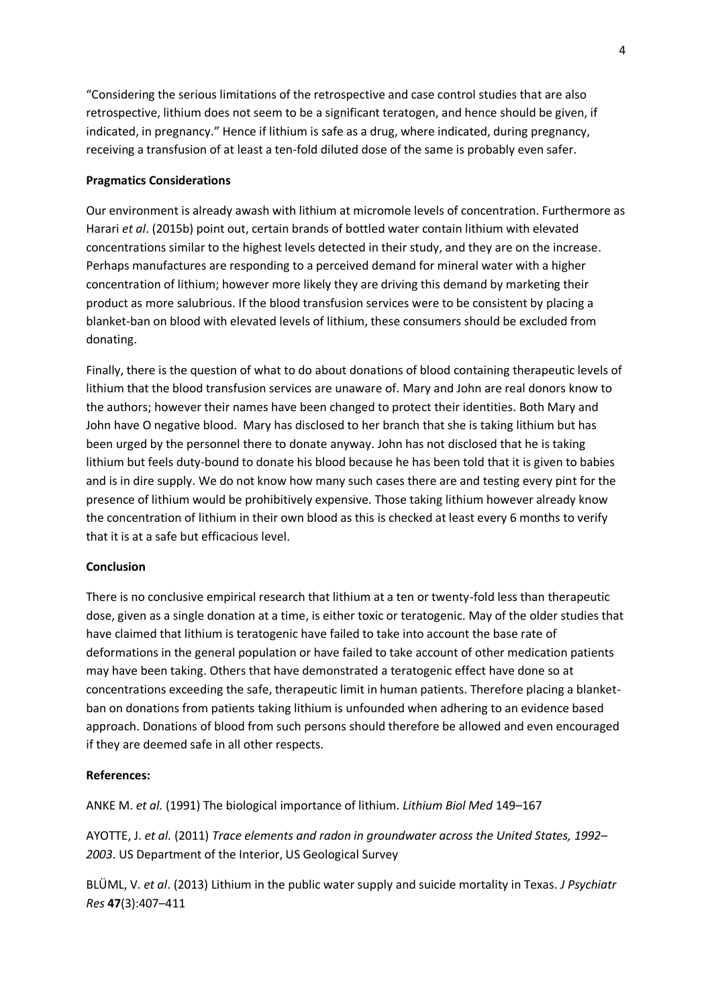"Considering the serious limitations of the retrospective and case control studies that are also retrospective, lithium does not seem to be a significant teratogen, and hence should be given, if indicated, in pregnancy." Hence if lithium is safe as a drug, where indicated, during pregnancy, receiving a transfusion of at least a ten-fold diluted dose of the same is probably even safer.

## **Pragmatics Considerations**

Our environment is already awash with lithium at micromole levels of concentration. Furthermore as Harari *et al*. (2015b) point out, certain brands of bottled water contain lithium with elevated concentrations similar to the highest levels detected in their study, and they are on the increase. Perhaps manufactures are responding to a perceived demand for mineral water with a higher concentration of lithium; however more likely they are driving this demand by marketing their product as more salubrious. If the blood transfusion services were to be consistent by placing a blanket-ban on blood with elevated levels of lithium, these consumers should be excluded from donating.

Finally, there is the question of what to do about donations of blood containing therapeutic levels of lithium that the blood transfusion services are unaware of. Mary and John are real donors know to the authors; however their names have been changed to protect their identities. Both Mary and John have O negative blood. Mary has disclosed to her branch that she is taking lithium but has been urged by the personnel there to donate anyway. John has not disclosed that he is taking lithium but feels duty-bound to donate his blood because he has been told that it is given to babies and is in dire supply. We do not know how many such cases there are and testing every pint for the presence of lithium would be prohibitively expensive. Those taking lithium however already know the concentration of lithium in their own blood as this is checked at least every 6 months to verify that it is at a safe but efficacious level.

#### **Conclusion**

There is no conclusive empirical research that lithium at a ten or twenty-fold less than therapeutic dose, given as a single donation at a time, is either toxic or teratogenic. May of the older studies that have claimed that lithium is teratogenic have failed to take into account the base rate of deformations in the general population or have failed to take account of other medication patients may have been taking. Others that have demonstrated a teratogenic effect have done so at concentrations exceeding the safe, therapeutic limit in human patients. Therefore placing a blanketban on donations from patients taking lithium is unfounded when adhering to an evidence based approach. Donations of blood from such persons should therefore be allowed and even encouraged if they are deemed safe in all other respects.

#### **References:**

ANKE M. *et al.* (1991) The biological importance of lithium. *Lithium Biol Med* 149–167

AYOTTE, J. *et al.* (2011) *Trace elements and radon in groundwater across the United States, 1992– 2003*. US Department of the Interior, US Geological Survey

BLÜML, V. *et al*. (2013) Lithium in the public water supply and suicide mortality in Texas. *J Psychiatr Res* **47**(3):407–411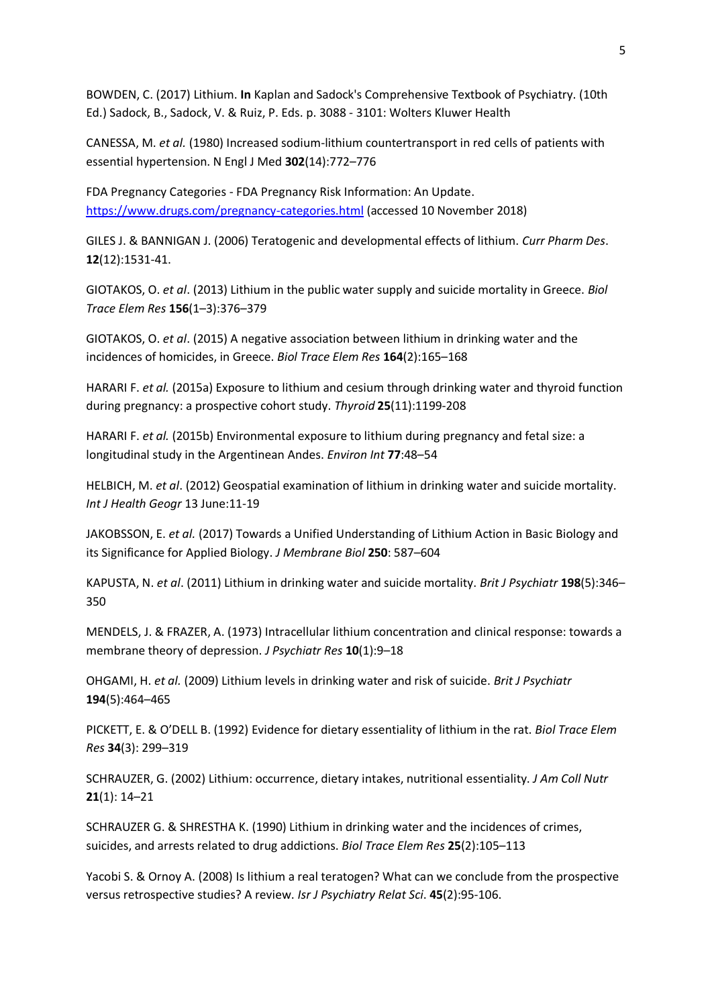BOWDEN, C. (2017) Lithium. **In** Kaplan and Sadock's Comprehensive Textbook of Psychiatry. (10th Ed.) Sadock, B., Sadock, V. & Ruiz, P. Eds. p. 3088 - 3101: Wolters Kluwer Health

CANESSA, M. *et al.* (1980) Increased sodium-lithium countertransport in red cells of patients with essential hypertension. N Engl J Med **302**(14):772–776

FDA Pregnancy Categories - FDA Pregnancy Risk Information: An Update. <https://www.drugs.com/pregnancy-categories.html> (accessed 10 November 2018)

GILES J. & BANNIGAN J. (2006) Teratogenic and developmental effects of lithium. *Curr Pharm Des*. **12**(12):1531-41.

GIOTAKOS, O. *et al*. (2013) Lithium in the public water supply and suicide mortality in Greece. *Biol Trace Elem Res* **156**(1–3):376–379

GIOTAKOS, O. *et al*. (2015) A negative association between lithium in drinking water and the incidences of homicides, in Greece. *Biol Trace Elem Res* **164**(2):165–168

HARARI F. *et al.* (2015a) Exposure to lithium and cesium through drinking water and thyroid function during pregnancy: a prospective cohort study. *Thyroid* **25**(11):1199-208

HARARI F. *et al.* (2015b) Environmental exposure to lithium during pregnancy and fetal size: a longitudinal study in the Argentinean Andes. *Environ Int* **77**:48–54

HELBICH, M. *et al*. (2012) Geospatial examination of lithium in drinking water and suicide mortality. *Int J Health Geogr* 13 June:11-19

JAKOBSSON, E. *et al.* (2017) Towards a Unified Understanding of Lithium Action in Basic Biology and its Significance for Applied Biology. *J Membrane Biol* **250**: 587–604

KAPUSTA, N. *et al*. (2011) Lithium in drinking water and suicide mortality. *Brit J Psychiatr* **198**(5):346– 350

MENDELS, J. & FRAZER, A. (1973) Intracellular lithium concentration and clinical response: towards a membrane theory of depression. *J Psychiatr Res* **10**(1):9–18

OHGAMI, H. *et al.* (2009) Lithium levels in drinking water and risk of suicide. *Brit J Psychiatr* **194**(5):464–465

PICKETT, E. & O'DELL B. (1992) Evidence for dietary essentiality of lithium in the rat. *Biol Trace Elem Res* **34**(3): 299–319

SCHRAUZER, G. (2002) Lithium: occurrence, dietary intakes, nutritional essentiality. *J Am Coll Nutr* **21**(1): 14–21

SCHRAUZER G. & SHRESTHA K. (1990) Lithium in drinking water and the incidences of crimes, suicides, and arrests related to drug addictions. *Biol Trace Elem Res* **25**(2):105–113

Yacobi S. & Ornoy A. (2008) Is lithium a real teratogen? What can we conclude from the prospective versus retrospective studies? A review. *Isr J Psychiatry Relat Sci*. **45**(2):95-106.